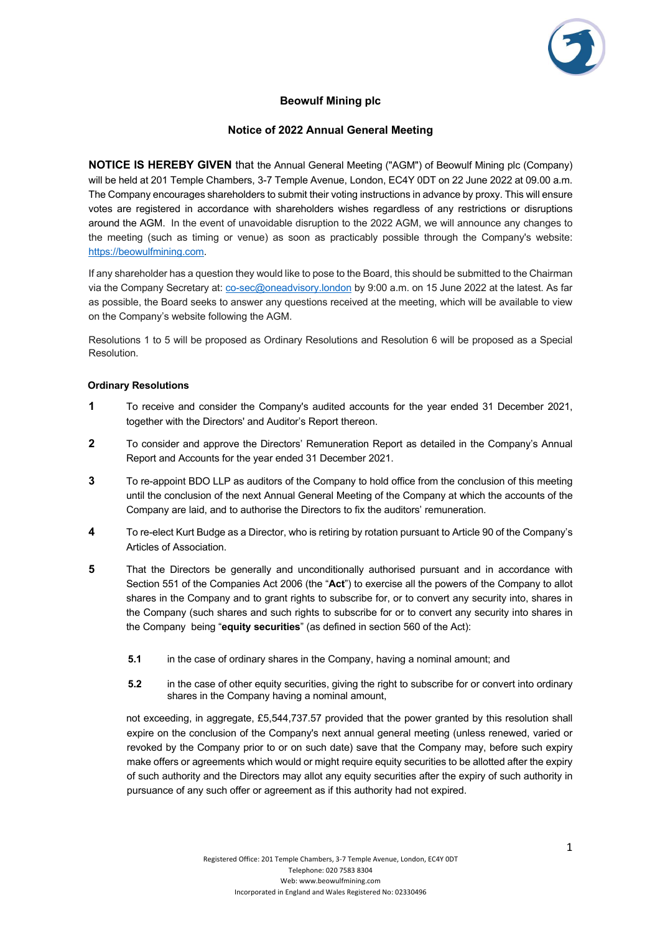

# **Beowulf Mining plc**

## **Notice of 2022 Annual General Meeting**

**NOTICE IS HEREBY GIVEN** that the Annual General Meeting ("AGM") of Beowulf Mining plc (Company) will be held at 201 Temple Chambers, 3-7 Temple Avenue, London, EC4Y 0DT on 22 June 2022 at 09.00 a.m. The Company encourages shareholders to submit their voting instructions in advance by proxy. This will ensure votes are registered in accordance with shareholders wishes regardless of any restrictions or disruptions around the AGM. In the event of unavoidable disruption to the 2022 AGM, we will announce any changes to the meeting (such as timing or venue) as soon as practicably possible through the Company's website: https://beowulfmining.com.

If any shareholder has a question they would like to pose to the Board, this should be submitted to the Chairman via the Company Secretary at: co-sec@oneadvisory.london by 9:00 a.m. on 15 June 2022 at the latest. As far as possible, the Board seeks to answer any questions received at the meeting, which will be available to view on the Company's website following the AGM.

Resolutions 1 to 5 will be proposed as Ordinary Resolutions and Resolution 6 will be proposed as a Special Resolution.

## **Ordinary Resolutions**

- **1** To receive and consider the Company's audited accounts for the year ended 31 December 2021, together with the Directors' and Auditor's Report thereon.
- **2** To consider and approve the Directors' Remuneration Report as detailed in the Company's Annual Report and Accounts for the year ended 31 December 2021.
- **3** To re-appoint BDO LLP as auditors of the Company to hold office from the conclusion of this meeting until the conclusion of the next Annual General Meeting of the Company at which the accounts of the Company are laid, and to authorise the Directors to fix the auditors' remuneration.
- **4** To re-elect Kurt Budge as a Director, who is retiring by rotation pursuant to Article 90 of the Company's Articles of Association.
- **5** That the Directors be generally and unconditionally authorised pursuant and in accordance with Section 551 of the Companies Act 2006 (the "**Act**") to exercise all the powers of the Company to allot shares in the Company and to grant rights to subscribe for, or to convert any security into, shares in the Company (such shares and such rights to subscribe for or to convert any security into shares in the Company being "**equity securities**" (as defined in section 560 of the Act):
	- **5.1** in the case of ordinary shares in the Company, having a nominal amount; and
	- **5.2** in the case of other equity securities, giving the right to subscribe for or convert into ordinary shares in the Company having a nominal amount,

not exceeding, in aggregate, £5,544,737.57 provided that the power granted by this resolution shall expire on the conclusion of the Company's next annual general meeting (unless renewed, varied or revoked by the Company prior to or on such date) save that the Company may, before such expiry make offers or agreements which would or might require equity securities to be allotted after the expiry of such authority and the Directors may allot any equity securities after the expiry of such authority in pursuance of any such offer or agreement as if this authority had not expired.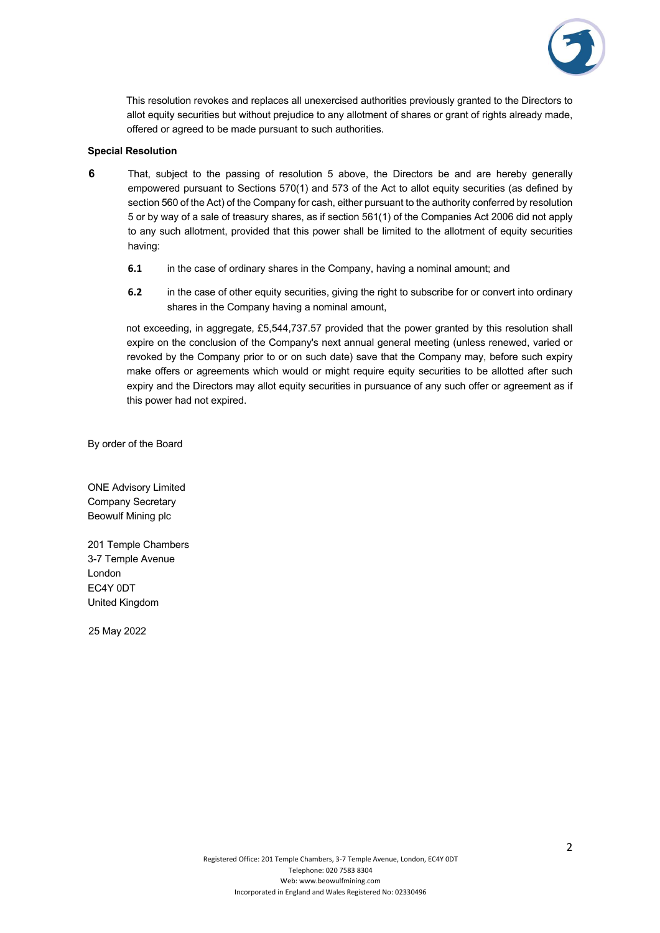

This resolution revokes and replaces all unexercised authorities previously granted to the Directors to allot equity securities but without prejudice to any allotment of shares or grant of rights already made, offered or agreed to be made pursuant to such authorities.

## **Special Resolution**

- **6** That, subject to the passing of resolution 5 above, the Directors be and are hereby generally empowered pursuant to Sections 570(1) and 573 of the Act to allot equity securities (as defined by section 560 of the Act) of the Company for cash, either pursuant to the authority conferred by resolution 5 or by way of a sale of treasury shares, as if section 561(1) of the Companies Act 2006 did not apply to any such allotment, provided that this power shall be limited to the allotment of equity securities having:
	- **6.1** in the case of ordinary shares in the Company, having a nominal amount; and
	- **6.2** in the case of other equity securities, giving the right to subscribe for or convert into ordinary shares in the Company having a nominal amount,

not exceeding, in aggregate, £5,544,737.57 provided that the power granted by this resolution shall expire on the conclusion of the Company's next annual general meeting (unless renewed, varied or revoked by the Company prior to or on such date) save that the Company may, before such expiry make offers or agreements which would or might require equity securities to be allotted after such expiry and the Directors may allot equity securities in pursuance of any such offer or agreement as if this power had not expired.

By order of the Board

ONE Advisory Limited Company Secretary Beowulf Mining plc

201 Temple Chambers 3-7 Temple Avenue London EC4Y 0DT United Kingdom

25 May 2022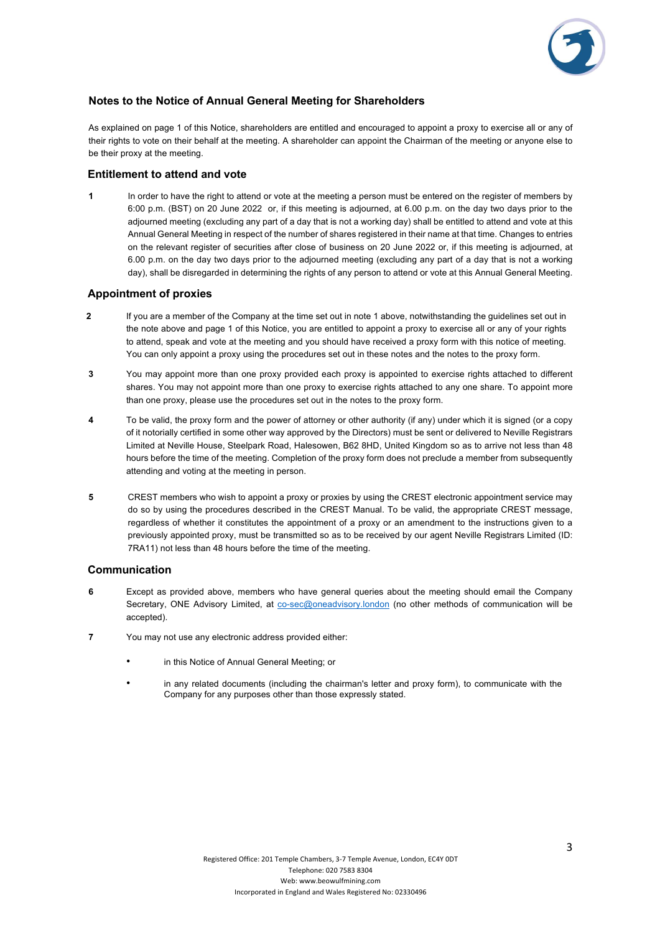

## **Notes to the Notice of Annual General Meeting for Shareholders**

As explained on page 1 of this Notice, shareholders are entitled and encouraged to appoint a proxy to exercise all or any of their rights to vote on their behalf at the meeting. A shareholder can appoint the Chairman of the meeting or anyone else to be their proxy at the meeting.

## **Entitlement to attend and vote**

In order to have the right to attend or vote at the meeting a person must be entered on the register of members by 6:00 p.m. (BST) on 20 June 2022 or, if this meeting is adjourned, at 6.00 p.m. on the day two days prior to the adjourned meeting (excluding any part of a day that is not a working day) shall be entitled to attend and vote at this Annual General Meeting in respect of the number of shares registered in their name at that time. Changes to entries on the relevant register of securities after close of business on 20 June 2022 or, if this meeting is adjourned, at 6.00 p.m. on the day two days prior to the adjourned meeting (excluding any part of a day that is not a working day), shall be disregarded in determining the rights of any person to attend or vote at this Annual General Meeting.

## **Appointment of proxies**

- **2** If you are a member of the Company at the time set out in note 1 above, notwithstanding the guidelines set out in the note above and page 1 of this Notice, you are entitled to appoint a proxy to exercise all or any of your rights to attend, speak and vote at the meeting and you should have received a proxy form with this notice of meeting. You can only appoint a proxy using the procedures set out in these notes and the notes to the proxy form.
- **3** You may appoint more than one proxy provided each proxy is appointed to exercise rights attached to different shares. You may not appoint more than one proxy to exercise rights attached to any one share. To appoint more than one proxy, please use the procedures set out in the notes to the proxy form.
- **4** To be valid, the proxy form and the power of attorney or other authority (if any) under which it is signed (or a copy of it notorially certified in some other way approved by the Directors) must be sent or delivered to Neville Registrars Limited at Neville House, Steelpark Road, Halesowen, B62 8HD, United Kingdom so as to arrive not less than 48 hours before the time of the meeting. Completion of the proxy form does not preclude a member from subsequently attending and voting at the meeting in person.
- **5** CREST members who wish to appoint a proxy or proxies by using the CREST electronic appointment service may do so by using the procedures described in the CREST Manual. To be valid, the appropriate CREST message, regardless of whether it constitutes the appointment of a proxy or an amendment to the instructions given to a previously appointed proxy, must be transmitted so as to be received by our agent Neville Registrars Limited (ID: 7RA11) not less than 48 hours before the time of the meeting.

#### **Communication**

- **6** Except as provided above, members who have general queries about the meeting should email the Company Secretary, ONE Advisory Limited, at co-sec@oneadvisory.london (no other methods of communication will be accepted).
- **7** You may not use any electronic address provided either:
	- in this Notice of Annual General Meeting; or
	- in any related documents (including the chairman's letter and proxy form), to communicate with the Company for any purposes other than those expressly stated.